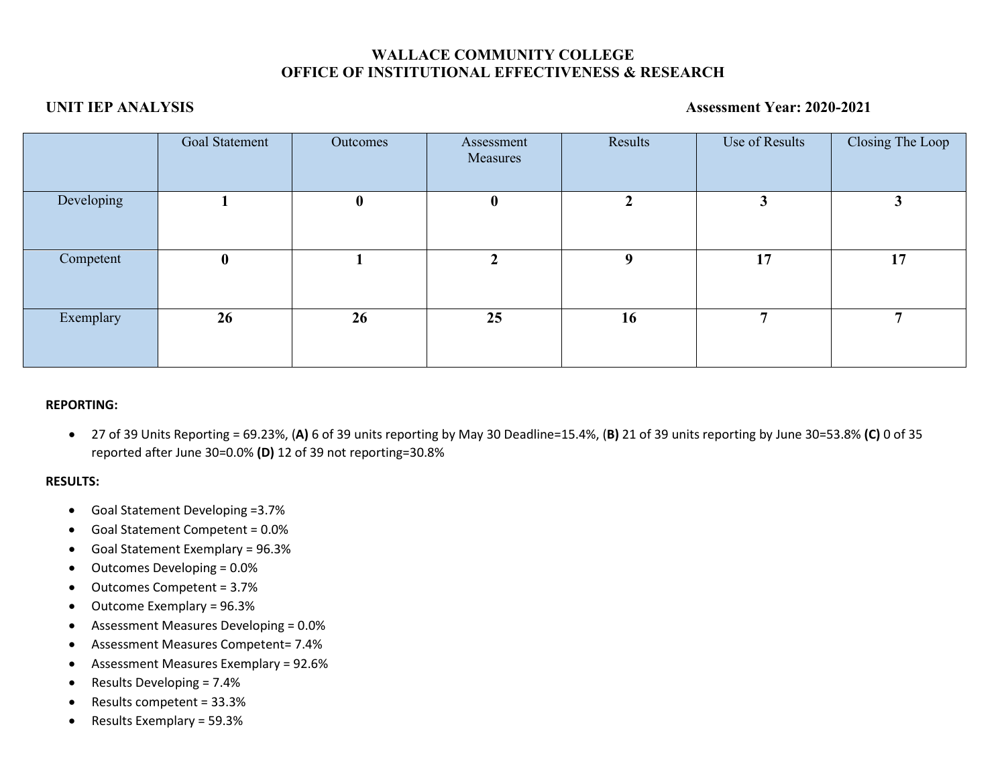# **WALLACE COMMUNITY COLLEGE OFFICE OF INSTITUTIONAL EFFECTIVENESS & RESEARCH**

## **UNIT IEP ANALYSIS Assessment Year: 2020-2021**

|            | Goal Statement   | Outcomes         | Assessment<br>Measures | Results | Use of Results | Closing The Loop |
|------------|------------------|------------------|------------------------|---------|----------------|------------------|
| Developing |                  | $\boldsymbol{0}$ | $\boldsymbol{0}$       | 2       | 3              |                  |
| Competent  | $\boldsymbol{0}$ |                  |                        | 9       | 17             | 17               |
| Exemplary  | 26               | 26               | 25                     | 16      | $\mathbf{r}$   |                  |

## **REPORTING:**

• 27 of 39 Units Reporting = 69.23%, (**A)** 6 of 39 units reporting by May 30 Deadline=15.4%, (**B)** 21 of 39 units reporting by June 30=53.8% **(C)** 0 of 35 reported after June 30=0.0% **(D)** 12 of 39 not reporting=30.8%

## **RESULTS:**

- Goal Statement Developing =3.7%
- Goal Statement Competent = 0.0%
- Goal Statement Exemplary = 96.3%
- Outcomes Developing = 0.0%
- Outcomes Competent = 3.7%
- Outcome Exemplary = 96.3%
- Assessment Measures Developing = 0.0%
- Assessment Measures Competent= 7.4%
- Assessment Measures Exemplary = 92.6%
- Results Developing = 7.4%
- Results competent = 33.3%
- Results Exemplary = 59.3%